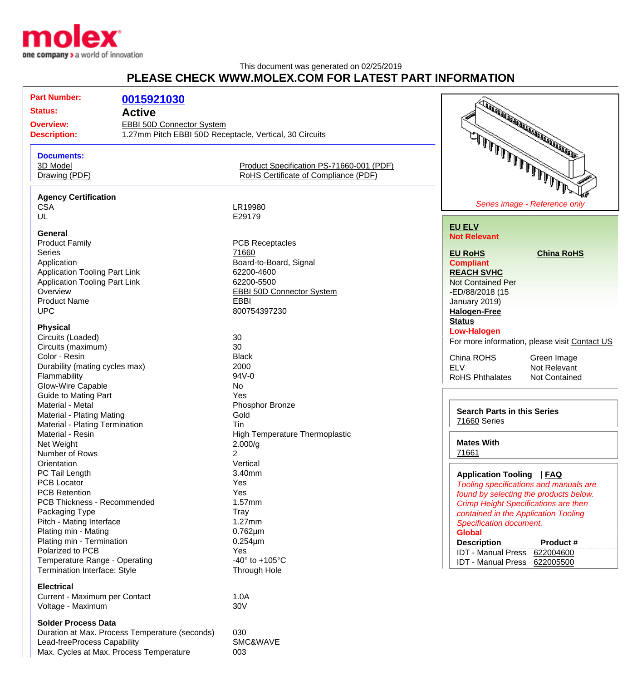

## This document was generated on 02/25/2019 **PLEASE CHECK WWW.MOLEX.COM FOR LATEST PART INFORMATION**

| <b>Part Number:</b>                                                                                                                                                       | 0015921030                                     |                                          | TANA ARA ARA ARA ARA ARA ARA ARA              |
|---------------------------------------------------------------------------------------------------------------------------------------------------------------------------|------------------------------------------------|------------------------------------------|-----------------------------------------------|
| <b>Status:</b><br><b>Active</b><br><b>Overview:</b><br><b>EBBI 50D Connector System</b><br>1.27mm Pitch EBBI 50D Receptacle, Vertical, 30 Circuits<br><b>Description:</b> |                                                |                                          |                                               |
|                                                                                                                                                                           |                                                |                                          |                                               |
|                                                                                                                                                                           |                                                |                                          |                                               |
|                                                                                                                                                                           |                                                |                                          |                                               |
| <b>Documents:</b>                                                                                                                                                         |                                                |                                          | شرطا لما لما لما لما لما الما للمالي .        |
| 3D Model                                                                                                                                                                  |                                                | Product Specification PS-71660-001 (PDF) |                                               |
| Drawing (PDF)                                                                                                                                                             |                                                | RoHS Certificate of Compliance (PDF)     |                                               |
|                                                                                                                                                                           |                                                |                                          |                                               |
| <b>Agency Certification</b>                                                                                                                                               |                                                |                                          |                                               |
| <b>CSA</b>                                                                                                                                                                |                                                | LR19980                                  | Series image - Reference only                 |
| UL                                                                                                                                                                        |                                                | E29179                                   |                                               |
|                                                                                                                                                                           |                                                |                                          | <b>EU ELV</b>                                 |
| <b>General</b>                                                                                                                                                            |                                                |                                          | <b>Not Relevant</b>                           |
| <b>Product Family</b>                                                                                                                                                     |                                                | <b>PCB Receptacles</b>                   |                                               |
| <b>Series</b>                                                                                                                                                             |                                                | 71660                                    | <b>EU RoHS</b><br><b>China RoHS</b>           |
| Application                                                                                                                                                               |                                                | Board-to-Board, Signal                   | <b>Compliant</b>                              |
| <b>Application Tooling Part Link</b>                                                                                                                                      |                                                | 62200-4600                               | <b>REACH SVHC</b>                             |
| <b>Application Tooling Part Link</b>                                                                                                                                      |                                                | 62200-5500                               | <b>Not Contained Per</b>                      |
| Overview                                                                                                                                                                  |                                                | <b>EBBI 50D Connector System</b>         | -ED/88/2018 (15                               |
| <b>Product Name</b>                                                                                                                                                       |                                                | EBBI                                     | January 2019)                                 |
| <b>UPC</b>                                                                                                                                                                |                                                | 800754397230                             | <b>Halogen-Free</b>                           |
|                                                                                                                                                                           |                                                |                                          | <b>Status</b>                                 |
| <b>Physical</b>                                                                                                                                                           |                                                |                                          | <b>Low-Halogen</b>                            |
| Circuits (Loaded)                                                                                                                                                         |                                                | 30                                       | For more information, please visit Contact US |
| Circuits (maximum)                                                                                                                                                        |                                                | 30                                       |                                               |
| Color - Resin                                                                                                                                                             |                                                | <b>Black</b>                             | China ROHS<br>Green Image                     |
| Durability (mating cycles max)                                                                                                                                            |                                                | 2000                                     | <b>ELV</b><br>Not Relevant                    |
| Flammability                                                                                                                                                              |                                                | 94V-0                                    | <b>RoHS Phthalates</b><br>Not Contained       |
| Glow-Wire Capable                                                                                                                                                         |                                                | No                                       |                                               |
| <b>Guide to Mating Part</b>                                                                                                                                               |                                                | Yes                                      |                                               |
| Material - Metal                                                                                                                                                          |                                                | Phosphor Bronze                          |                                               |
| <b>Material - Plating Mating</b>                                                                                                                                          |                                                | Gold                                     | <b>Search Parts in this Series</b>            |
| Material - Plating Termination                                                                                                                                            |                                                | Tin                                      | 71660 Series                                  |
| Material - Resin                                                                                                                                                          |                                                | High Temperature Thermoplastic           |                                               |
| Net Weight                                                                                                                                                                |                                                | 2.000/g                                  | <b>Mates With</b>                             |
| Number of Rows                                                                                                                                                            |                                                | 2                                        | 71661                                         |
| Orientation                                                                                                                                                               |                                                | Vertical                                 |                                               |
| PC Tail Length                                                                                                                                                            |                                                | 3.40mm                                   | Application Tooling   FAQ                     |
| <b>PCB Locator</b>                                                                                                                                                        |                                                | Yes                                      | Tooling specifications and manuals are        |
| <b>PCB Retention</b>                                                                                                                                                      |                                                | Yes                                      | found by selecting the products below.        |
| PCB Thickness - Recommended                                                                                                                                               |                                                | 1.57mm                                   | Crimp Height Specifications are then          |
| Packaging Type                                                                                                                                                            |                                                | Tray                                     | contained in the Application Tooling          |
| Pitch - Mating Interface                                                                                                                                                  |                                                | $1.27$ mm                                | <b>Specification document.</b>                |
| Plating min - Mating                                                                                                                                                      |                                                | $0.762 \mu m$                            | <b>Global</b>                                 |
| Plating min - Termination                                                                                                                                                 |                                                | $0.254 \mu m$                            |                                               |
| Polarized to PCB                                                                                                                                                          |                                                | Yes                                      | <b>Description</b><br>Product #               |
| Temperature Range - Operating                                                                                                                                             |                                                | -40 $\degree$ to +105 $\degree$ C        | IDT - Manual Press 622004600                  |
|                                                                                                                                                                           |                                                |                                          | IDT - Manual Press 622005500                  |
| Termination Interface: Style                                                                                                                                              |                                                | Through Hole                             |                                               |
| <b>Electrical</b>                                                                                                                                                         |                                                |                                          |                                               |
| Current - Maximum per Contact                                                                                                                                             |                                                | 1.0A                                     |                                               |
| Voltage - Maximum                                                                                                                                                         |                                                | 30V                                      |                                               |
| <b>Solder Process Data</b>                                                                                                                                                |                                                |                                          |                                               |
|                                                                                                                                                                           | Duration at Max. Process Temperature (seconds) | 030                                      |                                               |
| Lead-freeProcess Capability                                                                                                                                               |                                                | SMC&WAVE                                 |                                               |
|                                                                                                                                                                           | Max. Cycles at Max. Process Temperature        | 003                                      |                                               |
|                                                                                                                                                                           |                                                |                                          |                                               |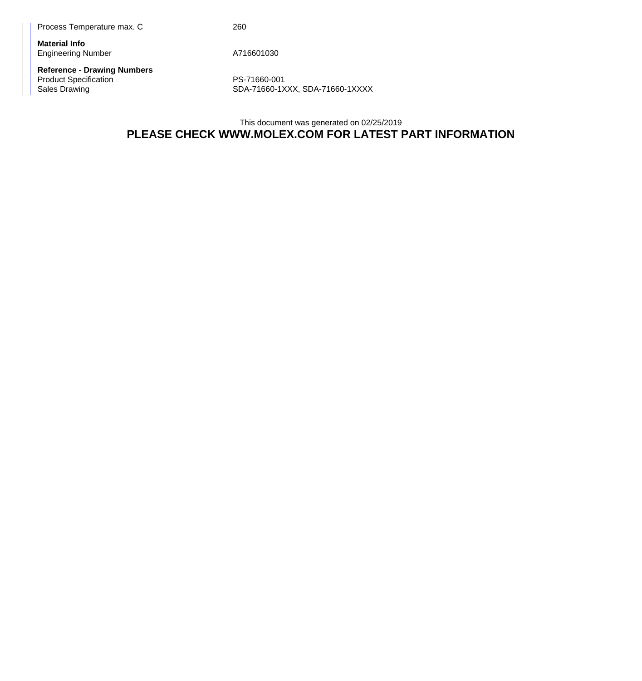Process Temperature max. C 260

**Material Info** Engineering Number A716601030

**Reference - Drawing Numbers** Product Specification **PS-71660-001** 

Sales Drawing SDA-71660-1XXX, SDA-71660-1XXX

This document was generated on 02/25/2019 **PLEASE CHECK WWW.MOLEX.COM FOR LATEST PART INFORMATION**